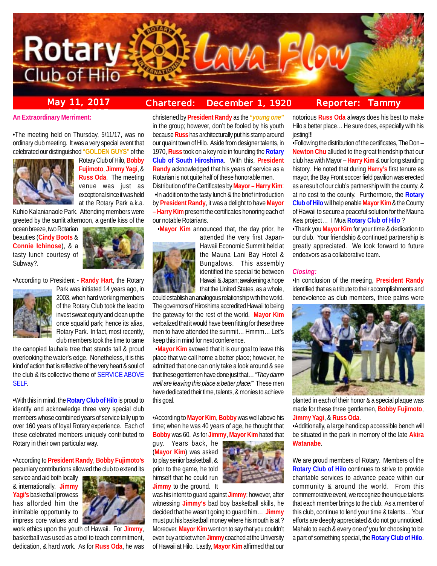

## **May 11, 2017 Chartered: December 1, 1920**

### **Reporter: Tammy**

**An Extraordinary Merriment:** 

•The meeting held on Thursday, 5/11/17, was no ordinary club meeting. It was a very special event that celebrated our distinguished **"GOLDEN GUYS"** of the



Rotary Club of Hilo, **Bobby Fujimoto**, **Jimmy Yagi**, & **Russ Oda**. The meeting venue was just as exceptional since it was held at the Rotary Park a.k.a.

Kuhio Kalanianaole Park. Attending members were greeted by the sunlit afternoon, a gentle kiss of the

ocean breeze, two Rotarian beauties (**Cindy Boots** & **Connie Ichinose**), & a tasty lunch courtesy of Subway?.



•According to President - **Randy Hart**, the Rotary



Park was initiated 14 years ago, in 2003, when hard working members of the Rotary Club took the lead to invest sweat equity and clean up the once squalid park; hence its alias, Rotary Park. In fact, most recently, club members took the time to tame

the canopied lauhala tree that stands tall & proud overlooking the water's edge. Nonetheless, it is this kind of action that is reflective of the very heart & soul of the club & its collective theme of SERVICE ABOVE SELF.

•With this in mind, the **Rotary Club of Hilo** is proud to identify and acknowledge three very special club members whose combined years of service tally up to over 160 years of loyal Rotary experience. Each of these celebrated members uniquely contributed to Rotary in their own particular way.

•According to **President Randy**, **Bobby Fujimoto's** pecuniary contributions allowed the club to extend its

service and aid both locally & internationally. **Jimmy Yagi's** basketball prowess has afforded him the inimitable opportunity to impress core values and



work ethics upon the youth of Hawaii. For **Jimmy**, basketball was used as a tool to teach commitment, dedication, & hard work. As for **Russ Oda**, he was

christened by **President Randy** as the *"young one"* in the group; however, don't be fooled by his youth because **Russ** has architecturally put his stamp around our quaint town of Hilo. Aside from designer talents, in 1970, **Russ** took on a key role in founding the **Rotary Club of South Hiroshima**. With this, **President Randy** acknowledged that his years of service as a Rotarian is not quite half of these honorable men.

Distribution of the Certificates by **Mayor – Harry Kim**: •In addition to the tasty lunch & the brief introduction by **President Randy**, it was a delight to have **Mayor – Harry Kim** present the certificates honoring each of our notable Rotarians.

•**Mayor Kim** announced that, the day prior, he



attended the very first Japan-

Hawaii Economic Summit held at the Mauna Lani Bay Hotel & Bungalows. This assembly identified the special tie between Hawaii & Japan; awakening a hope that the United States, as a whole,

could establish an analogous relationship with the world. The governors of Hiroshima accredited Hawaii to being the gateway for the rest of the world. **Mayor Kim** verbalized that it would have been fitting for these three men to have attended the summit… Hmmm… Let's keep this in mind for next conference.

 •**Mayor Kim** avowed that it is our goal to leave this place that we call home a better place; however, he admitted that one can only take a look around & see that these gentlemen have done just that… *"They damn well are leaving this place a better place!"* These men have dedicated their time, talents, & monies to achieve this goal.

•According to **Mayor Kim**, **Bobby** was well above his time; when he was 40 years of age, he thought that **Bobby** was 60. As for **Jimmy**, **Mayor Kim** hated that

guy. Years back, he (**Mayor Kim**) was asked to play senior basketball, & prior to the game, he told himself that he could run **Jimmy** to the ground. It



was his intent to guard against **Jimmy**; however, after witnessing **Jimmy's** bad boy basketball skills, he decided that he wasn't going to guard him… **Jimmy** must put his basketball money where his mouth is at ? Moreover, **Mayor Kim** went on to say that you couldn't even buy a ticket when **Jimmy** coached at the University of Hawaii at Hilo. Lastly, **Mayor Kim** affirmed that our

notorious **Russ Oda** always does his best to make Hilo a better place… He sure does, especially with his jesting!!!

•Following the distribution of the certificates, The Don – **Newton Chu** alluded to the great friendship that our club has with Mayor – **Harry Kim** & our long standing history. He noted that during **Harry's** first tenure as mayor, the Bay Front soccer field pavilion was erected as a result of our club's partnership with the county, & at no cost to the county. Furthermore, the **Rotary Club of Hilo** will help enable **Mayor Kim** & the County of Hawaii to secure a peaceful solution for the Mauna Kea project… I Mua **Rotary Club of Hilo** ?

•Thank you **Mayor Kim** for your time & dedication to our club. Your friendship & continued partnership is greatly appreciated. We look forward to future endeavors as a collaborative team.

#### *Closing:*

•In conclusion of the meeting, **President Randy** identified that as a tribute to their accomplishments and benevolence as club members, three palms were



planted in each of their honor & a special plaque was made for these three gentlemen, **Bobby Fujimoto**, **Jimmy Yagi**, & **Russ Oda**.

•Additionally, a large handicap accessible bench will be situated in the park in memory of the late **Akira Watanabe**.

We are proud members of Rotary. Members of the **Rotary Club of Hilo** continues to strive to provide charitable services to advance peace within our community & around the world. From this commemorative event, we recognize the unique talents that each member brings to the club. As a member of this club, continue to lend your time & talents… Your efforts are deeply appreciated & do not go unnoticed. Mahalo to each & every one of you for choosing to be a part of something special, the **Rotary Club of Hilo**.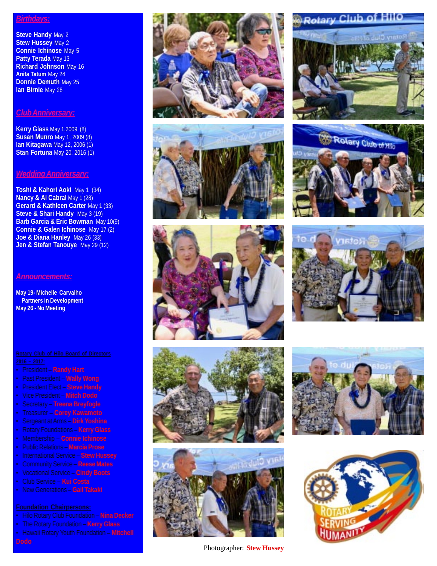### *Birthdays:*

**Steve Handy May 2 Stew Hussey** May 2 **Connie Ichinose** May 5 **Patty Terada** May 13 **Richard Johnson** May 16 **Anita Tatum** May 24 **Donnie Demuth** May 25 **Ian Birnie** May 28

### *Club Anniversary:*

**Kerry Glass** May 1,2009 (8) **Susan Munro** May 1, 2009 (8) **Ian Kitagawa** May 12, 2006 (1) **Stan Fortuna** May 20, 2016 (1)

### *Wedding Anniversary:*

**Toshi & Kahori Aoki** May 1 (34) **Nancy & Al Cabral May 1 (28) Gerard & Kathleen Carter May 1 (33) Steve & Shari Handy** May 3 (19) **Barb Garcia & Eric Bowman** May 10(9) **Connie & Galen Ichinose** May 17 (2) **Joe & Diana Hanley** May 26 (33) **Jen & Stefan Tanouye** May 29 (12)

### *Announcements:*

**May 19- Michelle Carvalho Partners in Development May 26 - No Meeting**

- President **Randy Hart**
- Past President **Wally Wong**
- President Elect **Steve Handy**
- Vice President **Mitch Dodo**
- Secretary **Treena Breyfogle**
- Treasurer **Corey Kawamoto**
- Sergeant at Arms **Dirk Yoshina**
- Rotary Foundations **Kerry Glass**
- Membership **Connie Ichinose**
- Public Relations **Marcia Prose**
- International Service **Stew Hussey**
- Community Service **Reese Mates**
- Vocational Service **Cindy Boots**
- Club Service **Kui Costa**
- New Generations **Gail Takaki**

### **Foundation Chairpersons:**

- Hilo Rotary Club Foundation **Nina Decker**
- 
- Hawaii Rotary Youth Foundation **Mitchell**











Photographer: **Stew Hussey**

# **Rotary Club o**